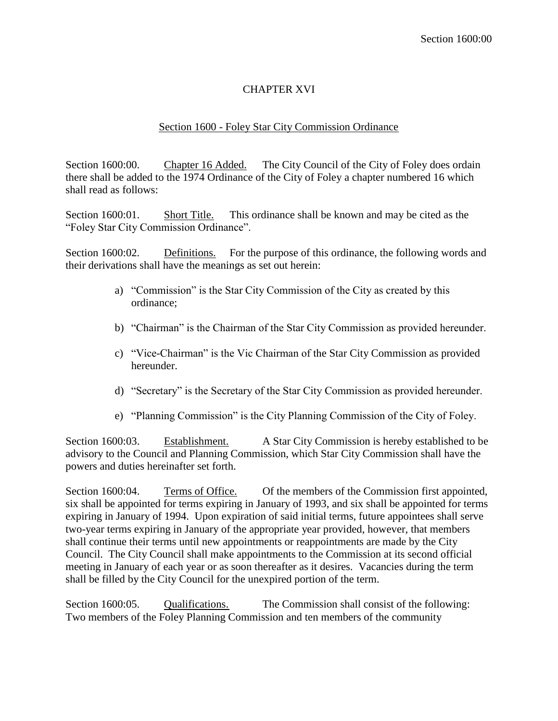## CHAPTER XVI

## Section 1600 - Foley Star City Commission Ordinance

Section 1600:00. Chapter 16 Added. The City Council of the City of Foley does ordain there shall be added to the 1974 Ordinance of the City of Foley a chapter numbered 16 which shall read as follows:

Section 1600:01. Short Title. This ordinance shall be known and may be cited as the "Foley Star City Commission Ordinance".

Section 1600:02. Definitions. For the purpose of this ordinance, the following words and their derivations shall have the meanings as set out herein:

- a) "Commission" is the Star City Commission of the City as created by this ordinance;
- b) "Chairman" is the Chairman of the Star City Commission as provided hereunder.
- c) "Vice-Chairman" is the Vic Chairman of the Star City Commission as provided hereunder.
- d) "Secretary" is the Secretary of the Star City Commission as provided hereunder.
- e) "Planning Commission" is the City Planning Commission of the City of Foley.

Section 1600:03. Establishment. A Star City Commission is hereby established to be advisory to the Council and Planning Commission, which Star City Commission shall have the powers and duties hereinafter set forth.

Section 1600:04. Terms of Office. Of the members of the Commission first appointed, six shall be appointed for terms expiring in January of 1993, and six shall be appointed for terms expiring in January of 1994. Upon expiration of said initial terms, future appointees shall serve two-year terms expiring in January of the appropriate year provided, however, that members shall continue their terms until new appointments or reappointments are made by the City Council. The City Council shall make appointments to the Commission at its second official meeting in January of each year or as soon thereafter as it desires. Vacancies during the term shall be filled by the City Council for the unexpired portion of the term.

Section 1600:05. Qualifications. The Commission shall consist of the following: Two members of the Foley Planning Commission and ten members of the community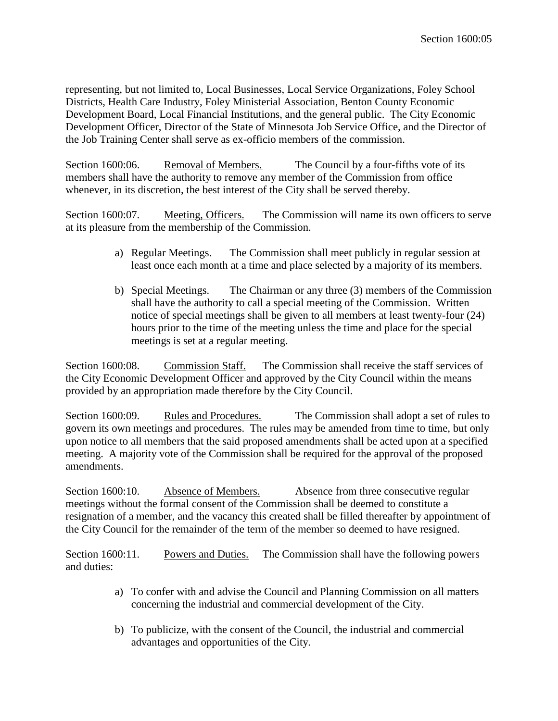representing, but not limited to, Local Businesses, Local Service Organizations, Foley School Districts, Health Care Industry, Foley Ministerial Association, Benton County Economic Development Board, Local Financial Institutions, and the general public. The City Economic Development Officer, Director of the State of Minnesota Job Service Office, and the Director of the Job Training Center shall serve as ex-officio members of the commission.

Section 1600:06. Removal of Members. The Council by a four-fifths vote of its members shall have the authority to remove any member of the Commission from office whenever, in its discretion, the best interest of the City shall be served thereby.

Section 1600:07. Meeting, Officers. The Commission will name its own officers to serve at its pleasure from the membership of the Commission.

- a) Regular Meetings. The Commission shall meet publicly in regular session at least once each month at a time and place selected by a majority of its members.
- b) Special Meetings. The Chairman or any three (3) members of the Commission shall have the authority to call a special meeting of the Commission. Written notice of special meetings shall be given to all members at least twenty-four (24) hours prior to the time of the meeting unless the time and place for the special meetings is set at a regular meeting.

Section 1600:08. Commission Staff. The Commission shall receive the staff services of the City Economic Development Officer and approved by the City Council within the means provided by an appropriation made therefore by the City Council.

Section 1600:09. Rules and Procedures. The Commission shall adopt a set of rules to govern its own meetings and procedures. The rules may be amended from time to time, but only upon notice to all members that the said proposed amendments shall be acted upon at a specified meeting. A majority vote of the Commission shall be required for the approval of the proposed amendments.

Section 1600:10. Absence of Members. Absence from three consecutive regular meetings without the formal consent of the Commission shall be deemed to constitute a resignation of a member, and the vacancy this created shall be filled thereafter by appointment of the City Council for the remainder of the term of the member so deemed to have resigned.

Section 1600:11. Powers and Duties. The Commission shall have the following powers and duties:

- a) To confer with and advise the Council and Planning Commission on all matters concerning the industrial and commercial development of the City.
- b) To publicize, with the consent of the Council, the industrial and commercial advantages and opportunities of the City.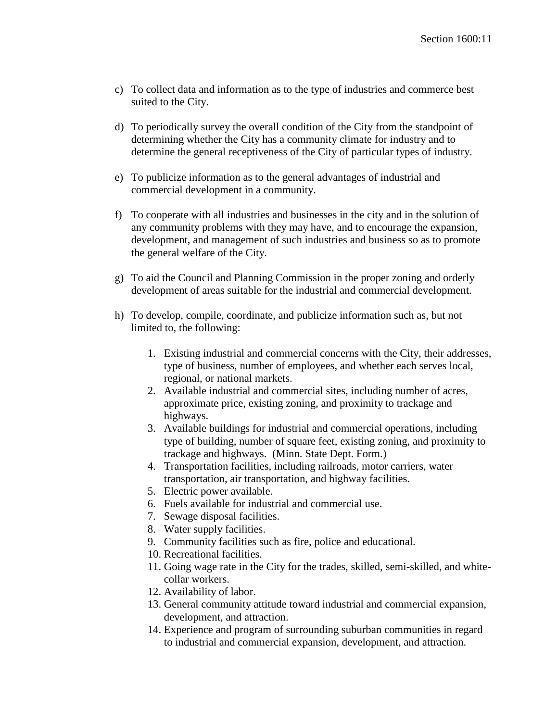- c) To collect data and information as to the type of industries and commerce best suited to the City.
- d) To periodically survey the overall condition of the City from the standpoint of determining whether the City has a community climate for industry and to determine the general receptiveness of the City of particular types of industry.
- e) To publicize information as to the general advantages of industrial and commercial development in a community.
- f) To cooperate with all industries and businesses in the city and in the solution of any community problems with they may have, and to encourage the expansion, development, and management of such industries and business so as to promote the general welfare of the City.
- g) To aid the Council and Planning Commission in the proper zoning and orderly development of areas suitable for the industrial and commercial development.
- h) To develop, compile, coordinate, and publicize information such as, but not limited to, the following:
	- 1. Existing industrial and commercial concerns with the City, their addresses, type of business, number of employees, and whether each serves local, regional, or national markets.
	- 2. Available industrial and commercial sites, including number of acres, approximate price, existing zoning, and proximity to trackage and highways.
	- 3. Available buildings for industrial and commercial operations, including type of building, number of square feet, existing zoning, and proximity to trackage and highways. (Minn. State Dept. Form.)
	- 4. Transportation facilities, including railroads, motor carriers, water transportation, air transportation, and highway facilities.
	- 5. Electric power available.
	- 6. Fuels available for industrial and commercial use.
	- 7. Sewage disposal facilities.
	- 8. Water supply facilities.
	- 9. Community facilities such as fire, police and educational.
	- 10. Recreational facilities.
	- 11. Going wage rate in the City for the trades, skilled, semi-skilled, and whitecollar workers.
	- 12. Availability of labor.
	- 13. General community attitude toward industrial and commercial expansion, development, and attraction.
	- 14. Experience and program of surrounding suburban communities in regard to industrial and commercial expansion, development, and attraction.